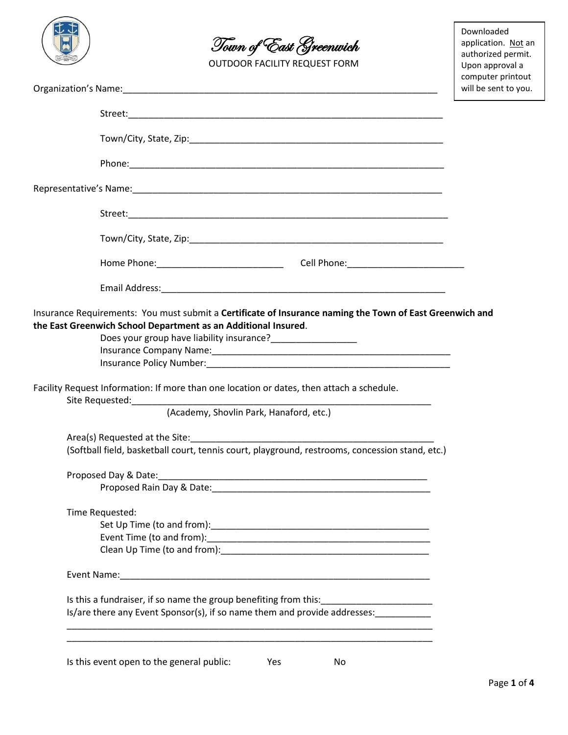



OUTDOOR FACILITY REQUEST FORM

Downloaded application. Not an authorized permit. Upon approval a computer printout will be sent to you.

|                                                                                                                                                                                                                               | will be sent to |
|-------------------------------------------------------------------------------------------------------------------------------------------------------------------------------------------------------------------------------|-----------------|
|                                                                                                                                                                                                                               |                 |
|                                                                                                                                                                                                                               |                 |
|                                                                                                                                                                                                                               |                 |
|                                                                                                                                                                                                                               |                 |
|                                                                                                                                                                                                                               |                 |
|                                                                                                                                                                                                                               |                 |
|                                                                                                                                                                                                                               |                 |
|                                                                                                                                                                                                                               |                 |
| Insurance Requirements: You must submit a Certificate of Insurance naming the Town of East Greenwich and<br>the East Greenwich School Department as an Additional Insured.                                                    |                 |
| Does your group have liability insurance?____________________                                                                                                                                                                 |                 |
|                                                                                                                                                                                                                               |                 |
| Insurance Policy Number: National Contract of the Contract of the Contract of the Contract of the Contract of the Contract of the Contract of the Contract of the Contract of the Contract of the Contract of the Contract of |                 |
| Facility Request Information: If more than one location or dates, then attach a schedule.                                                                                                                                     |                 |
| (Academy, Shovlin Park, Hanaford, etc.)                                                                                                                                                                                       |                 |
|                                                                                                                                                                                                                               |                 |
| (Softball field, basketball court, tennis court, playground, restrooms, concession stand, etc.)                                                                                                                               |                 |
|                                                                                                                                                                                                                               |                 |
|                                                                                                                                                                                                                               |                 |
| Time Requested:                                                                                                                                                                                                               |                 |
|                                                                                                                                                                                                                               |                 |
|                                                                                                                                                                                                                               |                 |
|                                                                                                                                                                                                                               |                 |
|                                                                                                                                                                                                                               |                 |
|                                                                                                                                                                                                                               |                 |
| Is/are there any Event Sponsor(s), if so name them and provide addresses:                                                                                                                                                     |                 |
|                                                                                                                                                                                                                               |                 |

Is this event open to the general public: Yes No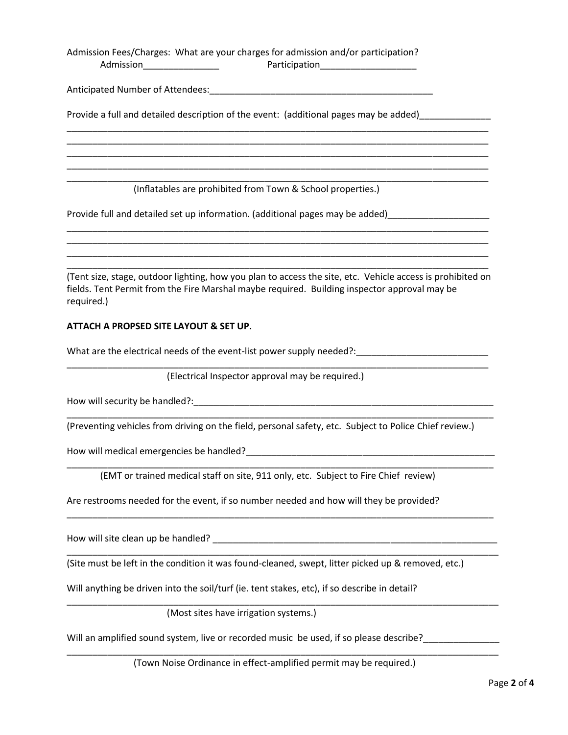Admission Fees/Charges: What are your charges for admission and/or participation? Admission\_\_\_\_\_\_\_\_\_\_\_\_\_\_\_ Participation\_\_\_\_\_\_\_\_\_\_\_\_\_\_\_\_\_\_\_

Anticipated Number of Attendees:

Provide a full and detailed description of the event: (additional pages may be added)

(Inflatables are prohibited from Town & School properties.)

\_\_\_\_\_\_\_\_\_\_\_\_\_\_\_\_\_\_\_\_\_\_\_\_\_\_\_\_\_\_\_\_\_\_\_\_\_\_\_\_\_\_\_\_\_\_\_\_\_\_\_\_\_\_\_\_\_\_\_\_\_\_\_\_\_\_\_\_\_\_\_\_\_\_\_\_\_\_\_\_\_\_\_ \_\_\_\_\_\_\_\_\_\_\_\_\_\_\_\_\_\_\_\_\_\_\_\_\_\_\_\_\_\_\_\_\_\_\_\_\_\_\_\_\_\_\_\_\_\_\_\_\_\_\_\_\_\_\_\_\_\_\_\_\_\_\_\_\_\_\_\_\_\_\_\_\_\_\_\_\_\_\_\_\_\_\_ \_\_\_\_\_\_\_\_\_\_\_\_\_\_\_\_\_\_\_\_\_\_\_\_\_\_\_\_\_\_\_\_\_\_\_\_\_\_\_\_\_\_\_\_\_\_\_\_\_\_\_\_\_\_\_\_\_\_\_\_\_\_\_\_\_\_\_\_\_\_\_\_\_\_\_\_\_\_\_\_\_\_\_ \_\_\_\_\_\_\_\_\_\_\_\_\_\_\_\_\_\_\_\_\_\_\_\_\_\_\_\_\_\_\_\_\_\_\_\_\_\_\_\_\_\_\_\_\_\_\_\_\_\_\_\_\_\_\_\_\_\_\_\_\_\_\_\_\_\_\_\_\_\_\_\_\_\_\_\_\_\_\_\_\_\_\_ \_\_\_\_\_\_\_\_\_\_\_\_\_\_\_\_\_\_\_\_\_\_\_\_\_\_\_\_\_\_\_\_\_\_\_\_\_\_\_\_\_\_\_\_\_\_\_\_\_\_\_\_\_\_\_\_\_\_\_\_\_\_\_\_\_\_\_\_\_\_\_\_\_\_\_\_\_\_\_\_\_\_\_

Provide full and detailed set up information. (additional pages may be added) \_\_\_\_\_\_\_\_\_\_\_\_\_\_\_\_\_\_\_\_\_\_\_\_\_\_\_\_\_\_\_\_

(Tent size, stage, outdoor lighting, how you plan to access the site, etc. Vehicle access is prohibited on fields. Tent Permit from the Fire Marshal maybe required. Building inspector approval may be required.)

\_\_\_\_\_\_\_\_\_\_\_\_\_\_\_\_\_\_\_\_\_\_\_\_\_\_\_\_\_\_\_\_\_\_\_\_\_\_\_\_\_\_\_\_\_\_\_\_\_\_\_\_\_\_\_\_\_\_\_\_\_\_\_\_\_\_\_\_\_\_\_\_\_\_\_\_\_\_\_\_\_\_\_ \_\_\_\_\_\_\_\_\_\_\_\_\_\_\_\_\_\_\_\_\_\_\_\_\_\_\_\_\_\_\_\_\_\_\_\_\_\_\_\_\_\_\_\_\_\_\_\_\_\_\_\_\_\_\_\_\_\_\_\_\_\_\_\_\_\_\_\_\_\_\_\_\_\_\_\_\_\_\_\_\_\_\_ \_\_\_\_\_\_\_\_\_\_\_\_\_\_\_\_\_\_\_\_\_\_\_\_\_\_\_\_\_\_\_\_\_\_\_\_\_\_\_\_\_\_\_\_\_\_\_\_\_\_\_\_\_\_\_\_\_\_\_\_\_\_\_\_\_\_\_\_\_\_\_\_\_\_\_\_\_\_\_\_\_\_\_ \_\_\_\_\_\_\_\_\_\_\_\_\_\_\_\_\_\_\_\_\_\_\_\_\_\_\_\_\_\_\_\_\_\_\_\_\_\_\_\_\_\_\_\_\_\_\_\_\_\_\_\_\_\_\_\_\_\_\_\_\_\_\_\_\_\_\_\_\_\_\_\_\_\_\_\_\_\_\_\_\_\_\_

### **ATTACH A PROPSED SITE LAYOUT & SET UP.**

What are the electrical needs of the event-list power supply needed?:

(Electrical Inspector approval may be required.)

\_\_\_\_\_\_\_\_\_\_\_\_\_\_\_\_\_\_\_\_\_\_\_\_\_\_\_\_\_\_\_\_\_\_\_\_\_\_\_\_\_\_\_\_\_\_\_\_\_\_\_\_\_\_\_\_\_\_\_\_\_\_\_\_\_\_\_\_\_\_\_\_\_\_\_\_\_\_\_\_\_\_\_

How will security be handled?:\_\_\_\_\_\_\_\_\_\_\_\_\_\_\_\_\_\_\_\_\_\_\_\_\_\_\_\_\_\_\_\_\_\_\_\_\_\_\_\_\_\_\_\_\_\_\_\_\_\_\_\_\_\_\_\_\_\_\_

(Preventing vehicles from driving on the field, personal safety, etc. Subject to Police Chief review.)

\_\_\_\_\_\_\_\_\_\_\_\_\_\_\_\_\_\_\_\_\_\_\_\_\_\_\_\_\_\_\_\_\_\_\_\_\_\_\_\_\_\_\_\_\_\_\_\_\_\_\_\_\_\_\_\_\_\_\_\_\_\_\_\_\_\_\_\_\_\_\_\_\_\_\_\_\_\_\_\_\_\_\_\_

\_\_\_\_\_\_\_\_\_\_\_\_\_\_\_\_\_\_\_\_\_\_\_\_\_\_\_\_\_\_\_\_\_\_\_\_\_\_\_\_\_\_\_\_\_\_\_\_\_\_\_\_\_\_\_\_\_\_\_\_\_\_\_\_\_\_\_\_\_\_\_\_\_\_\_\_\_\_\_\_\_\_\_\_

\_\_\_\_\_\_\_\_\_\_\_\_\_\_\_\_\_\_\_\_\_\_\_\_\_\_\_\_\_\_\_\_\_\_\_\_\_\_\_\_\_\_\_\_\_\_\_\_\_\_\_\_\_\_\_\_\_\_\_\_\_\_\_\_\_\_\_\_\_\_\_\_\_\_\_\_\_\_\_\_\_\_\_\_

\_\_\_\_\_\_\_\_\_\_\_\_\_\_\_\_\_\_\_\_\_\_\_\_\_\_\_\_\_\_\_\_\_\_\_\_\_\_\_\_\_\_\_\_\_\_\_\_\_\_\_\_\_\_\_\_\_\_\_\_\_\_\_\_\_\_\_\_\_\_\_\_\_\_\_\_\_\_\_\_\_\_\_\_\_

\_\_\_\_\_\_\_\_\_\_\_\_\_\_\_\_\_\_\_\_\_\_\_\_\_\_\_\_\_\_\_\_\_\_\_\_\_\_\_\_\_\_\_\_\_\_\_\_\_\_\_\_\_\_\_\_\_\_\_\_\_\_\_\_\_\_\_\_\_\_\_\_\_\_\_\_\_\_\_\_\_\_\_\_\_

How will medical emergencies be handled?\_\_\_\_\_\_\_\_\_\_\_\_\_\_\_\_\_\_\_\_\_\_\_\_\_\_\_\_\_\_\_\_\_\_\_\_\_\_\_\_\_\_\_\_\_\_\_\_\_

(EMT or trained medical staff on site, 911 only, etc. Subject to Fire Chief review)

Are restrooms needed for the event, if so number needed and how will they be provided?

How will site clean up be handled? \_\_\_\_\_\_\_\_\_\_\_\_\_\_\_\_\_\_\_\_\_\_\_\_\_\_\_\_\_\_\_\_\_\_\_\_\_\_\_\_\_\_\_\_\_\_\_\_\_\_\_\_\_\_\_\_

(Site must be left in the condition it was found-cleaned, swept, litter picked up & removed, etc.)

Will anything be driven into the soil/turf (ie. tent stakes, etc), if so describe in detail?

(Most sites have irrigation systems.)

Will an amplified sound system, live or recorded music be used, if so please describe?\_\_\_\_\_\_\_\_\_\_\_\_\_

(Town Noise Ordinance in effect-amplified permit may be required.)

\_\_\_\_\_\_\_\_\_\_\_\_\_\_\_\_\_\_\_\_\_\_\_\_\_\_\_\_\_\_\_\_\_\_\_\_\_\_\_\_\_\_\_\_\_\_\_\_\_\_\_\_\_\_\_\_\_\_\_\_\_\_\_\_\_\_\_\_\_\_\_\_\_\_\_\_\_\_\_\_\_\_\_\_\_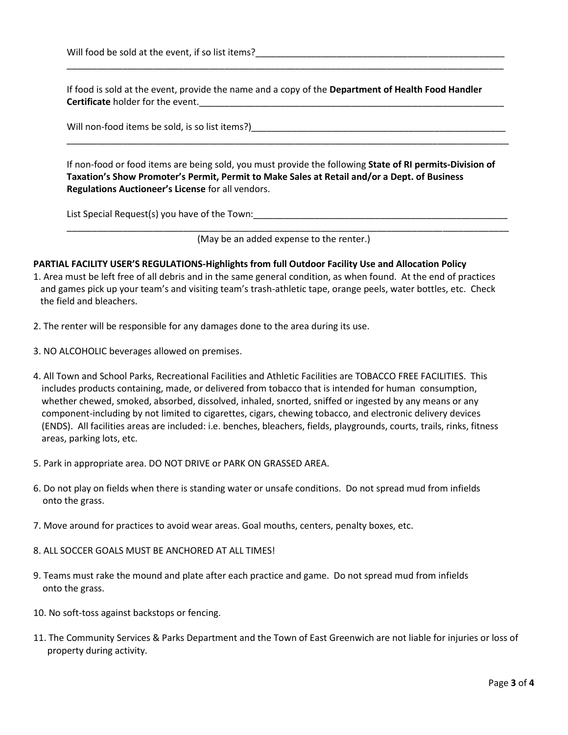Will food be sold at the event, if so list items?

If food is sold at the event, provide the name and a copy of the **Department of Health Food Handler Certificate** holder for the event.

\_\_\_\_\_\_\_\_\_\_\_\_\_\_\_\_\_\_\_\_\_\_\_\_\_\_\_\_\_\_\_\_\_\_\_\_\_\_\_\_\_\_\_\_\_\_\_\_\_\_\_\_\_\_\_\_\_\_\_\_\_\_\_\_\_\_\_\_\_\_\_\_\_\_\_\_\_\_\_\_\_\_\_\_\_\_

Will non-food items be sold, is so list items?)\_\_\_\_\_\_\_\_\_\_\_\_\_\_\_\_\_\_\_\_\_\_\_\_\_\_\_\_\_\_\_\_\_

If non-food or food items are being sold, you must provide the following **State of RI permits-Division of Taxation's Show Promoter's Permit, Permit to Make Sales at Retail and/or a Dept. of Business Regulations Auctioneer's License** for all vendors.

\_\_\_\_\_\_\_\_\_\_\_\_\_\_\_\_\_\_\_\_\_\_\_\_\_\_\_\_\_\_\_\_\_\_\_\_\_\_\_\_\_\_\_\_\_\_\_\_\_\_\_\_\_\_\_\_\_\_\_\_\_\_\_\_\_\_\_\_\_\_\_\_\_\_\_\_\_\_\_\_\_\_\_\_\_\_\_

List Special Request(s) you have of the Town: \_\_\_\_\_\_\_\_\_\_\_\_\_\_\_\_\_\_\_\_\_\_\_\_\_\_\_\_\_\_\_\_\_\_

\_\_\_\_\_\_\_\_\_\_\_\_\_\_\_\_\_\_\_\_\_\_\_\_\_\_\_\_\_\_\_\_\_\_\_\_\_\_\_\_\_\_\_\_\_\_\_\_\_\_\_\_\_\_\_\_\_\_\_\_\_\_\_\_\_\_\_\_\_\_\_\_\_\_\_\_\_\_\_\_\_\_\_\_\_\_\_ (May be an added expense to the renter.)

#### **PARTIAL FACILITY USER'S REGULATIONS-Highlights from full Outdoor Facility Use and Allocation Policy**

- 1. Area must be left free of all debris and in the same general condition, as when found. At the end of practices and games pick up your team's and visiting team's trash-athletic tape, orange peels, water bottles, etc. Check the field and bleachers.
- 2. The renter will be responsible for any damages done to the area during its use.
- 3. NO ALCOHOLIC beverages allowed on premises.
- 4. All Town and School Parks, Recreational Facilities and Athletic Facilities are TOBACCO FREE FACILITIES. This includes products containing, made, or delivered from tobacco that is intended for human consumption, whether chewed, smoked, absorbed, dissolved, inhaled, snorted, sniffed or ingested by any means or any component-including by not limited to cigarettes, cigars, chewing tobacco, and electronic delivery devices (ENDS). All facilities areas are included: i.e. benches, bleachers, fields, playgrounds, courts, trails, rinks, fitness areas, parking lots, etc.
- 5. Park in appropriate area. DO NOT DRIVE or PARK ON GRASSED AREA.
- 6. Do not play on fields when there is standing water or unsafe conditions. Do not spread mud from infields onto the grass.
- 7. Move around for practices to avoid wear areas. Goal mouths, centers, penalty boxes, etc.
- 8. ALL SOCCER GOALS MUST BE ANCHORED AT ALL TIMES!
- 9. Teams must rake the mound and plate after each practice and game. Do not spread mud from infields onto the grass.
- 10. No soft-toss against backstops or fencing.
- 11. The Community Services & Parks Department and the Town of East Greenwich are not liable for injuries or loss of property during activity.